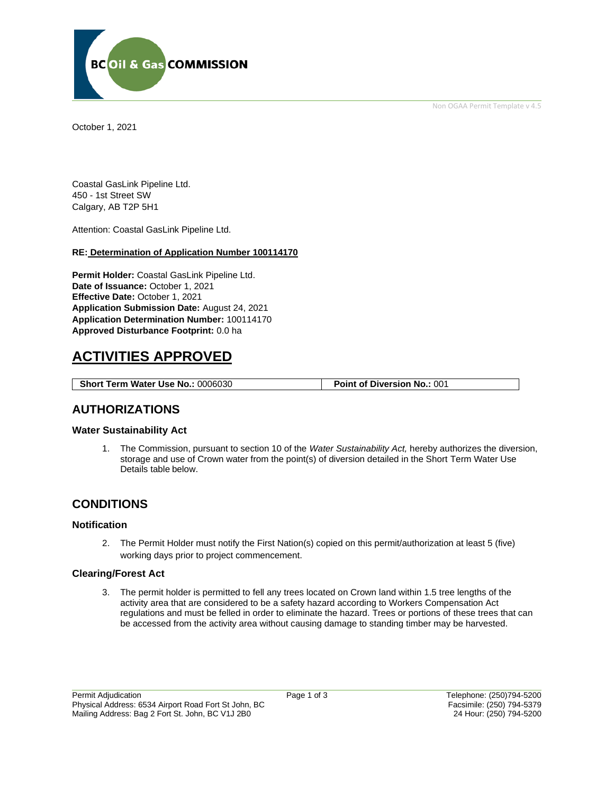

Non OGAA Permit Template v 4.5

October 1, 2021

Coastal GasLink Pipeline Ltd. 450 - 1st Street SW Calgary, AB T2P 5H1

Attention: Coastal GasLink Pipeline Ltd.

#### **RE: Determination of Application Number 100114170**

**Permit Holder:** Coastal GasLink Pipeline Ltd. **Date of Issuance:** October 1, 2021 **Effective Date:** October 1, 2021 **Application Submission Date:** August 24, 2021 **Application Determination Number:** 100114170 **Approved Disturbance Footprint:** 0.0 ha

# **ACTIVITIES APPROVED**

**Short Term Water Use No.: 0006030 Point of Diversion No.: 001** 

### **AUTHORIZATIONS**

### **Water Sustainability Act**

1. The Commission, pursuant to section 10 of the *Water Sustainability Act,* hereby authorizes the diversion, storage and use of Crown water from the point(s) of diversion detailed in the Short Term Water Use Details table below.

## **CONDITIONS**

### **Notification**

2. The Permit Holder must notify the First Nation(s) copied on this permit/authorization at least 5 (five) working days prior to project commencement.

### **Clearing/Forest Act**

3. The permit holder is permitted to fell any trees located on Crown land within 1.5 tree lengths of the activity area that are considered to be a safety hazard according to Workers Compensation Act regulations and must be felled in order to eliminate the hazard. Trees or portions of these trees that can be accessed from the activity area without causing damage to standing timber may be harvested.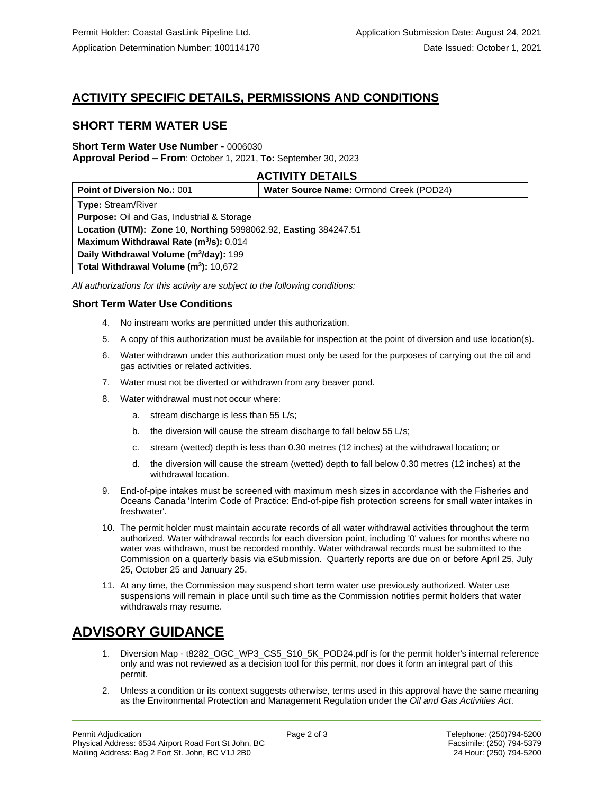# **ACTIVITY SPECIFIC DETAILS, PERMISSIONS AND CONDITIONS**

## **SHORT TERM WATER USE**

#### **Short Term Water Use Number -** 0006030 **Approval Period – From**: October 1, 2021, **To:** September 30, 2023

### **ACTIVITY DETAILS**

| <b>Point of Diversion No.: 001</b>                              | Water Source Name: Ormond Creek (POD24) |
|-----------------------------------------------------------------|-----------------------------------------|
| <b>Type: Stream/River</b>                                       |                                         |
| <b>Purpose:</b> Oil and Gas, Industrial & Storage               |                                         |
| Location (UTM): Zone 10, Northing 5998062.92, Easting 384247.51 |                                         |
| Maximum Withdrawal Rate (m <sup>3</sup> /s): 0.014              |                                         |
| Daily Withdrawal Volume (m <sup>3</sup> /day): 199              |                                         |
| Total Withdrawal Volume (m <sup>3</sup> ): 10,672               |                                         |

*All authorizations for this activity are subject to the following conditions:*

### **Short Term Water Use Conditions**

- 4. No instream works are permitted under this authorization.
- 5. A copy of this authorization must be available for inspection at the point of diversion and use location(s).
- 6. Water withdrawn under this authorization must only be used for the purposes of carrying out the oil and gas activities or related activities.
- 7. Water must not be diverted or withdrawn from any beaver pond.
- 8. Water withdrawal must not occur where:
	- a. stream discharge is less than 55 L/s;
	- b. the diversion will cause the stream discharge to fall below 55 L/s;
	- c. stream (wetted) depth is less than 0.30 metres (12 inches) at the withdrawal location; or
	- d. the diversion will cause the stream (wetted) depth to fall below 0.30 metres (12 inches) at the withdrawal location.
- 9. End-of-pipe intakes must be screened with maximum mesh sizes in accordance with the Fisheries and Oceans Canada 'Interim Code of Practice: End-of-pipe fish protection screens for small water intakes in freshwater'.
- 10. The permit holder must maintain accurate records of all water withdrawal activities throughout the term authorized. Water withdrawal records for each diversion point, including '0' values for months where no water was withdrawn, must be recorded monthly. Water withdrawal records must be submitted to the Commission on a quarterly basis via eSubmission. Quarterly reports are due on or before April 25, July 25, October 25 and January 25.
- 11. At any time, the Commission may suspend short term water use previously authorized. Water use suspensions will remain in place until such time as the Commission notifies permit holders that water withdrawals may resume.

# **ADVISORY GUIDANCE**

- 1. Diversion Map t8282 OGC WP3 CS5 S10 5K POD24.pdf is for the permit holder's internal reference only and was not reviewed as a decision tool for this permit, nor does it form an integral part of this permit.
- 2. Unless a condition or its context suggests otherwise, terms used in this approval have the same meaning as the Environmental Protection and Management Regulation under the *Oil and Gas Activities Act*.